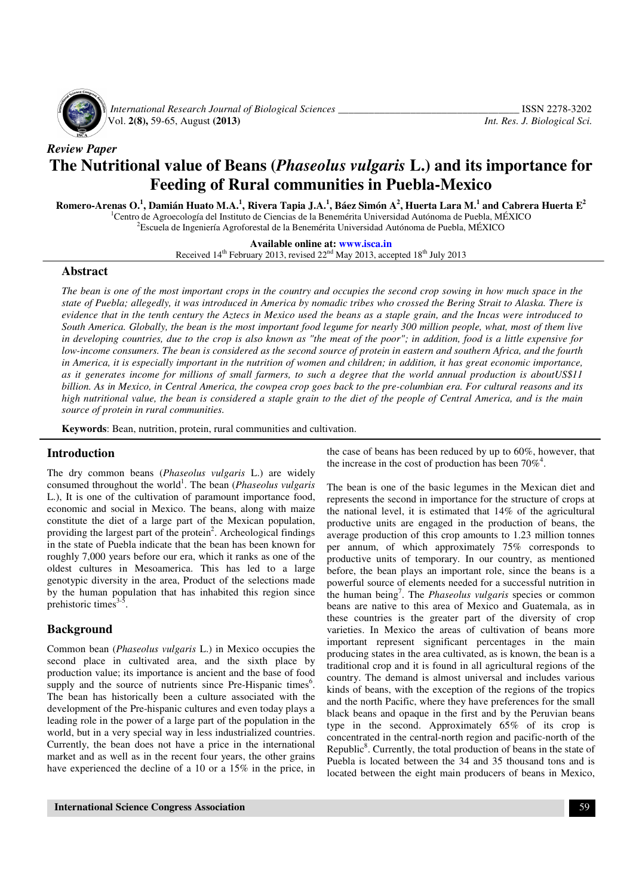

 *International Research Journal of Biological Sciences \_\_\_\_\_\_\_\_\_\_\_\_\_\_\_\_\_\_\_\_\_\_\_\_\_\_\_\_\_\_\_\_\_\_\_* ISSN 2278-3202 Vol. **2(8),** 59-65, August **(2013)** *Int. Res. J. Biological Sci.*

*Review Paper* 

# **The Nutritional value of Beans (***Phaseolus vulgaris* **L.) and its importance for Feeding of Rural communities in Puebla-Mexico**

**Romero-Arenas O.<sup>1</sup> , Damián Huato M.A.<sup>1</sup> , Rivera Tapia J.A.<sup>1</sup> , Báez Simón A<sup>2</sup> , Huerta Lara M.<sup>1</sup> and Cabrera Huerta E<sup>2</sup>** <sup>1</sup>Centro de Agroecología del Instituto de Ciencias de la Benemérita Universidad Autónoma de Puebla, MÉXICO

 ${}^{2}$ Escuela de Ingeniería Agroforestal de la Benemérita Universidad Autónoma de Puebla, MÉXICO

**Available online at: www.isca.in**

Received  $14<sup>th</sup>$  February 2013, revised  $22<sup>nd</sup>$  May 2013, accepted  $18<sup>th</sup>$  July 2013

## **Abstract**

*The bean is one of the most important crops in the country and occupies the second crop sowing in how much space in the state of Puebla; allegedly, it was introduced in America by nomadic tribes who crossed the Bering Strait to Alaska. There is evidence that in the tenth century the Aztecs in Mexico used the beans as a staple grain, and the Incas were introduced to South America. Globally, the bean is the most important food legume for nearly 300 million people, what, most of them live in developing countries, due to the crop is also known as "the meat of the poor"; in addition, food is a little expensive for low-income consumers. The bean is considered as the second source of protein in eastern and southern Africa, and the fourth in America, it is especially important in the nutrition of women and children; in addition, it has great economic importance, as it generates income for millions of small farmers, to such a degree that the world annual production is aboutUS\$11 billion. As in Mexico, in Central America, the cowpea crop goes back to the pre-columbian era. For cultural reasons and its high nutritional value, the bean is considered a staple grain to the diet of the people of Central America, and is the main source of protein in rural communities.* 

**Keywords**: Bean, nutrition, protein, rural communities and cultivation.

## **Introduction**

The dry common beans (*Phaseolus vulgaris* L.) are widely consumed throughout the world<sup>1</sup>. The bean (*Phaseolus vulgaris* L.), It is one of the cultivation of paramount importance food, economic and social in Mexico. The beans, along with maize constitute the diet of a large part of the Mexican population, providing the largest part of the protein<sup>2</sup>. Archeological findings in the state of Puebla indicate that the bean has been known for roughly 7,000 years before our era, which it ranks as one of the oldest cultures in Mesoamerica. This has led to a large genotypic diversity in the area, Product of the selections made by the human population that has inhabited this region since prehistoric times $3<sup>3</sup>$ .

## **Background**

Common bean (*Phaseolus vulgaris* L.) in Mexico occupies the second place in cultivated area, and the sixth place by production value; its importance is ancient and the base of food supply and the source of nutrients since Pre-Hispanic times<sup>6</sup>. The bean has historically been a culture associated with the development of the Pre-hispanic cultures and even today plays a leading role in the power of a large part of the population in the world, but in a very special way in less industrialized countries. Currently, the bean does not have a price in the international market and as well as in the recent four years, the other grains have experienced the decline of a 10 or a 15% in the price, in

the case of beans has been reduced by up to 60%, however, that the increase in the cost of production has been  $70\%^4$ .

The bean is one of the basic legumes in the Mexican diet and represents the second in importance for the structure of crops at the national level, it is estimated that 14% of the agricultural productive units are engaged in the production of beans, the average production of this crop amounts to 1.23 million tonnes per annum, of which approximately 75% corresponds to productive units of temporary. In our country, as mentioned before, the bean plays an important role, since the beans is a powerful source of elements needed for a successful nutrition in the human being<sup>7</sup> . The *Phaseolus vulgaris* species or common beans are native to this area of Mexico and Guatemala, as in these countries is the greater part of the diversity of crop varieties. In Mexico the areas of cultivation of beans more important represent significant percentages in the main producing states in the area cultivated, as is known, the bean is a traditional crop and it is found in all agricultural regions of the country. The demand is almost universal and includes various kinds of beans, with the exception of the regions of the tropics and the north Pacific, where they have preferences for the small black beans and opaque in the first and by the Peruvian beans type in the second. Approximately 65% of its crop is concentrated in the central-north region and pacific-north of the Republic<sup>8</sup>. Currently, the total production of beans in the state of Puebla is located between the 34 and 35 thousand tons and is located between the eight main producers of beans in Mexico,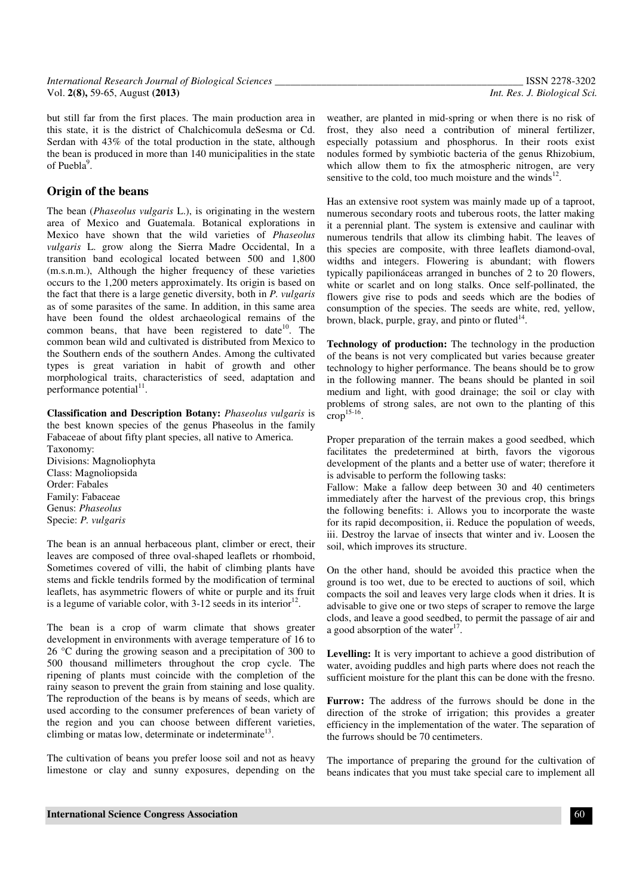but still far from the first places. The main production area in this state, it is the district of Chalchicomula deSesma or Cd. Serdan with 43% of the total production in the state, although the bean is produced in more than 140 municipalities in the state of Puebla $9$ .

# **Origin of the beans**

Specie: *P. vulgaris* 

The bean (*Phaseolus vulgaris* L.), is originating in the western area of Mexico and Guatemala. Botanical explorations in Mexico have shown that the wild varieties of *Phaseolus vulgaris* L. grow along the Sierra Madre Occidental, In a transition band ecological located between 500 and 1,800 (m.s.n.m.), Although the higher frequency of these varieties occurs to the 1,200 meters approximately. Its origin is based on the fact that there is a large genetic diversity, both in *P. vulgaris* as of some parasites of the same. In addition, in this same area have been found the oldest archaeological remains of the common beans, that have been registered to date<sup>10</sup>. The common bean wild and cultivated is distributed from Mexico to the Southern ends of the southern Andes. Among the cultivated types is great variation in habit of growth and other morphological traits, characteristics of seed, adaptation and performance potential $^{11}$ .

**Classification and Description Botany:** *Phaseolus vulgaris* is the best known species of the genus Phaseolus in the family Fabaceae of about fifty plant species, all native to America. Taxonomy: Divisions: Magnoliophyta Class: Magnoliopsida Order: Fabales Family: Fabaceae Genus: *Phaseolus*

The bean is an annual herbaceous plant, climber or erect, their leaves are composed of three oval-shaped leaflets or rhomboid, Sometimes covered of villi, the habit of climbing plants have stems and fickle tendrils formed by the modification of terminal leaflets, has asymmetric flowers of white or purple and its fruit is a legume of variable color, with  $3-12$  seeds in its interior<sup>12</sup>.

The bean is a crop of warm climate that shows greater development in environments with average temperature of 16 to 26 °C during the growing season and a precipitation of 300 to 500 thousand millimeters throughout the crop cycle. The ripening of plants must coincide with the completion of the rainy season to prevent the grain from staining and lose quality. The reproduction of the beans is by means of seeds, which are used according to the consumer preferences of bean variety of the region and you can choose between different varieties, climbing or matas low, determinate or indeterminate $13$ .

The cultivation of beans you prefer loose soil and not as heavy limestone or clay and sunny exposures, depending on the weather, are planted in mid-spring or when there is no risk of frost, they also need a contribution of mineral fertilizer, especially potassium and phosphorus. In their roots exist nodules formed by symbiotic bacteria of the genus Rhizobium, which allow them to fix the atmospheric nitrogen, are very sensitive to the cold, too much moisture and the winds $12$ .

Has an extensive root system was mainly made up of a taproot, numerous secondary roots and tuberous roots, the latter making it a perennial plant. The system is extensive and caulinar with numerous tendrils that allow its climbing habit. The leaves of this species are composite, with three leaflets diamond-oval, widths and integers. Flowering is abundant; with flowers typically papilionáceas arranged in bunches of 2 to 20 flowers, white or scarlet and on long stalks. Once self-pollinated, the flowers give rise to pods and seeds which are the bodies of consumption of the species. The seeds are white, red, yellow, brown, black, purple, gray, and pinto or fluted $^{14}$ .

**Technology of production:** The technology in the production of the beans is not very complicated but varies because greater technology to higher performance. The beans should be to grow in the following manner. The beans should be planted in soil medium and light, with good drainage; the soil or clay with problems of strong sales, are not own to the planting of this  $\text{crop}^{\frac{15-16}{5}}$ .

Proper preparation of the terrain makes a good seedbed, which facilitates the predetermined at birth, favors the vigorous development of the plants and a better use of water; therefore it is advisable to perform the following tasks:

Fallow: Make a fallow deep between 30 and 40 centimeters immediately after the harvest of the previous crop, this brings the following benefits: i. Allows you to incorporate the waste for its rapid decomposition, ii. Reduce the population of weeds, iii. Destroy the larvae of insects that winter and iv. Loosen the soil, which improves its structure.

On the other hand, should be avoided this practice when the ground is too wet, due to be erected to auctions of soil, which compacts the soil and leaves very large clods when it dries. It is advisable to give one or two steps of scraper to remove the large clods, and leave a good seedbed, to permit the passage of air and a good absorption of the water $17$ .

**Levelling:** It is very important to achieve a good distribution of water, avoiding puddles and high parts where does not reach the sufficient moisture for the plant this can be done with the fresno.

**Furrow:** The address of the furrows should be done in the direction of the stroke of irrigation; this provides a greater efficiency in the implementation of the water. The separation of the furrows should be 70 centimeters.

The importance of preparing the ground for the cultivation of beans indicates that you must take special care to implement all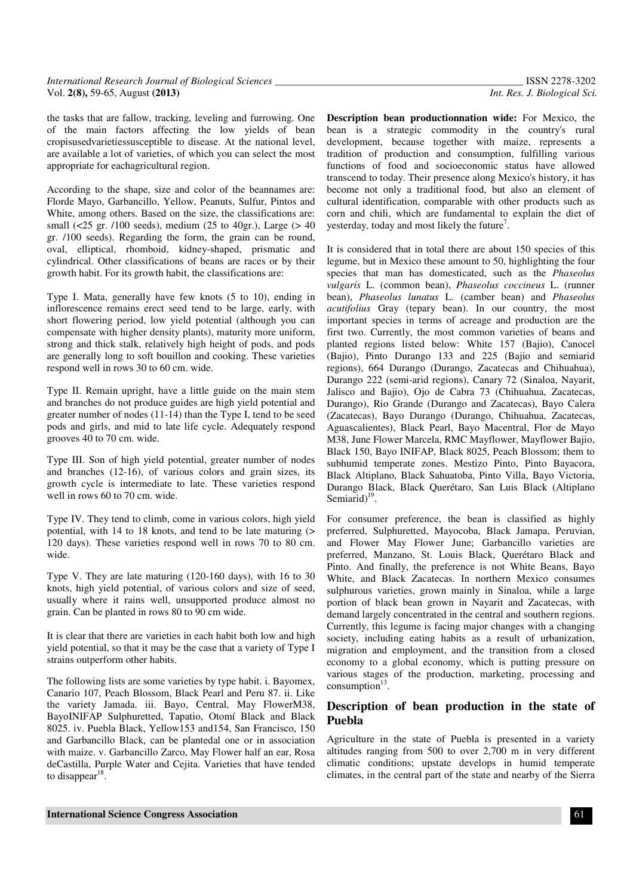the tasks that are fallow, tracking, leveling and furrowing. One of the main factors affecting the low yields of bean cropisusedvarietiessusceptible to disease. At the national level, are available a lot of varieties, of which you can select the most appropriate for eachagricultural region.

According to the shape, size and color of the beannames are: Florde Mayo, Garbancillo, Yellow, Peanuts, Sulfur, Pintos and White, among others. Based on the size, the classifications are: small (<25 gr. /100 seeds), medium (25 to 40gr.), Large (> 40 gr. /100 seeds). Regarding the form, the grain can be round, oval, elliptical, rhomboid, kidney-shaped, prismatic and cylindrical. Other classifications of beans are races or by their growth habit. For its growth habit, the classifications are:

Type I. Mata, generally have few knots (5 to 10), ending in inflorescence remains erect seed tend to be large, early, with short flowering period, low yield potential (although you can compensate with higher density plants), maturity more uniform, strong and thick stalk, relatively high height of pods, and pods are generally long to soft bouillon and cooking. These varieties respond well in rows 30 to 60 cm. wide.

Type II. Remain upright, have a little guide on the main stem and branches do not produce guides are high yield potential and greater number of nodes (11-14) than the Type I, tend to be seed pods and girls, and mid to late life cycle. Adequately respond grooves 40 to 70 cm. wide.

Type III. Son of high yield potential, greater number of nodes and branches (12-16), of various colors and grain sizes, its growth cycle is intermediate to late. These varieties respond well in rows 60 to 70 cm. wide.

Type IV. They tend to climb, come in various colors, high yield potential, with 14 to 18 knots, and tend to be late maturing (> 120 days). These varieties respond well in rows 70 to 80 cm. wide.

Type V. They are late maturing (120-160 days), with 16 to 30 knots, high yield potential, of various colors and size of seed, usually where it rains well, unsupported produce almost no grain. Can be planted in rows 80 to 90 cm wide.

It is clear that there are varieties in each habit both low and high yield potential, so that it may be the case that a variety of Type I strains outperform other habits.

The following lists are some varieties by type habit. i. Bayomex, Canario 107, Peach Blossom, Black Pearl and Peru 87. ii. Like the variety Jamada. iii. Bayo, Central, May FlowerM38, BayoINIFAP Sulphuretted, Tapatio, Otomí Black and Black 8025. iv. Puebla Black, Yellow153 and154, San Francisco, 150 and Garbancillo Black, can be plantedal one or in association with maize. v. Garbancillo Zarco, May Flower half an ear. Rosa deCastilla, Purple Water and Cejita. Varieties that have tended to disappear $^{18}$ .

**Description bean productionnation wide:** For Mexico, the bean is a strategic commodity in the country's rural development, because together with maize, represents a tradition of production and consumption, fulfilling various functions of food and socioeconomic status have allowed transcend to today. Their presence along Mexico's history, it has become not only a traditional food, but also an element of cultural identification, comparable with other products such as corn and chili, which are fundamental to explain the diet of yesterday, today and most likely the future<sup>7</sup>.

It is considered that in total there are about 150 species of this legume, but in Mexico these amount to 50, highlighting the four species that man has domesticated, such as the *Phaseolus vulgaris* L. (common bean), *Phaseolus coccineus* L. (runner bean), *Phaseolus lunatus* L. (camber bean) and *Phaseolus acutifolius* Gray (tepary bean). In our country, the most important species in terms of acreage and production are the first two. Currently, the most common varieties of beans and planted regions listed below: White 157 (Bajio), Canocel (Bajio), Pinto Durango 133 and 225 (Bajio and semiarid regions), 664 Durango (Durango, Zacatecas and Chihuahua), Durango 222 (semi-arid regions), Canary 72 (Sinaloa, Nayarit, Jalisco and Bajio), Ojo de Cabra 73 (Chihuahua, Zacatecas, Durango), Rio Grande (Durango and Zacatecas), Bayo Calera (Zacatecas), Bayo Durango (Durango, Chihuahua, Zacatecas, Aguascalientes), Black Pearl, Bayo Macentral, Flor de Mayo M38, June Flower Marcela, RMC Mayflower, Mayflower Bajio, Black 150, Bayo INIFAP, Black 8025, Peach Blossom; them to subhumid temperate zones. Mestizo Pinto, Pinto Bayacora, Black Altiplano, Black Sahuatoba, Pinto Villa, Bayo Victoria, Durango Black, Black Querétaro, San Luis Black (Altiplano Semiarid $)^{19}$ .

For consumer preference, the bean is classified as highly preferred, Sulphuretted, Mayocoba, Black Jamapa, Peruvian, and Flower May Flower June; Garbancillo varieties are preferred, Manzano, St. Louis Black, Querétaro Black and Pinto. And finally, the preference is not White Beans, Bayo White, and Black Zacatecas. In northern Mexico consumes sulphurous varieties, grown mainly in Sinaloa, while a large portion of black bean grown in Nayarit and Zacatecas, with demand largely concentrated in the central and southern regions. Currently, this legume is facing major changes with a changing society, including eating habits as a result of urbanization, migration and employment, and the transition from a closed economy to a global economy, which is putting pressure on various stages of the production, marketing, processing and  $\frac{13}{2}$ .

# **Description of bean production in the state of Puebla**

Agriculture in the state of Puebla is presented in a variety altitudes ranging from 500 to over 2,700 m in very different climatic conditions; upstate develops in humid temperate climates, in the central part of the state and nearby of the Sierra

**International Science Congress Association** 61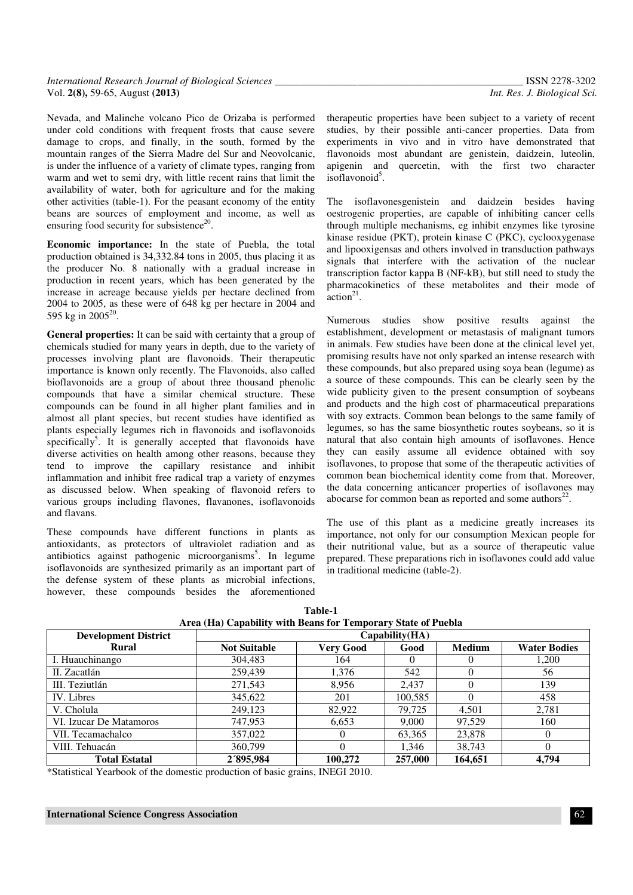| International Research Journal of Biological Sciences | ISSN 2278-3202               |
|-------------------------------------------------------|------------------------------|
| Vol. 2(8), 59-65, August (2013)                       | Int. Res. J. Biological Sci. |

Nevada, and Malinche volcano Pico de Orizaba is performed under cold conditions with frequent frosts that cause severe damage to crops, and finally, in the south, formed by the mountain ranges of the Sierra Madre del Sur and Neovolcanic, is under the influence of a variety of climate types, ranging from warm and wet to semi dry, with little recent rains that limit the availability of water, both for agriculture and for the making other activities (table-1). For the peasant economy of the entity beans are sources of employment and income, as well as ensuring food security for subsistence<sup>20</sup>.

**Economic importance:** In the state of Puebla, the total production obtained is 34,332.84 tons in 2005, thus placing it as the producer No. 8 nationally with a gradual increase in production in recent years, which has been generated by the increase in acreage because yields per hectare declined from 2004 to 2005, as these were of 648 kg per hectare in 2004 and 595 kg in 2005 $^{20}$ .

**General properties:** It can be said with certainty that a group of chemicals studied for many years in depth, due to the variety of processes involving plant are flavonoids. Their therapeutic importance is known only recently. The Flavonoids, also called bioflavonoids are a group of about three thousand phenolic compounds that have a similar chemical structure. These compounds can be found in all higher plant families and in almost all plant species, but recent studies have identified as plants especially legumes rich in flavonoids and isoflavonoids specifically<sup>5</sup>. It is generally accepted that flavonoids have diverse activities on health among other reasons, because they tend to improve the capillary resistance and inhibit inflammation and inhibit free radical trap a variety of enzymes as discussed below. When speaking of flavonoid refers to various groups including flavones, flavanones, isoflavonoids and flavans.

These compounds have different functions in plants as antioxidants, as protectors of ultraviolet radiation and as antibiotics against pathogenic microorganisms<sup>5</sup>. In legume isoflavonoids are synthesized primarily as an important part of the defense system of these plants as microbial infections, however, these compounds besides the aforementioned

therapeutic properties have been subject to a variety of recent studies, by their possible anti-cancer properties. Data from experiments in vivo and in vitro have demonstrated that flavonoids most abundant are genistein, daidzein, luteolin, apigenin and quercetin, with the first two character  $is of a two node<sup>5</sup>$ .

The isoflavonesgenistein and daidzein besides having oestrogenic properties, are capable of inhibiting cancer cells through multiple mechanisms, eg inhibit enzymes like tyrosine kinase residue (PKT), protein kinase C (PKC), cyclooxygenase and lipooxigensas and others involved in transduction pathways signals that interfere with the activation of the nuclear transcription factor kappa B (NF-kB), but still need to study the pharmacokinetics of these metabolites and their mode of  $\arctan^{21}$ .

Numerous studies show positive results against the establishment, development or metastasis of malignant tumors in animals. Few studies have been done at the clinical level yet, promising results have not only sparked an intense research with these compounds, but also prepared using soya bean (legume) as a source of these compounds. This can be clearly seen by the wide publicity given to the present consumption of soybeans and products and the high cost of pharmaceutical preparations with soy extracts. Common bean belongs to the same family of legumes, so has the same biosynthetic routes soybeans, so it is natural that also contain high amounts of isoflavones. Hence they can easily assume all evidence obtained with soy isoflavones, to propose that some of the therapeutic activities of common bean biochemical identity come from that. Moreover, the data concerning anticancer properties of isoflavones may abocarse for common bean as reported and some authors $^{22}$ .

The use of this plant as a medicine greatly increases its importance, not only for our consumption Mexican people for their nutritional value, but as a source of therapeutic value prepared. These preparations rich in isoflavones could add value in traditional medicine (table-2).

| <b>Development District</b> | Capability(HA)      |                  |          |               |                     |
|-----------------------------|---------------------|------------------|----------|---------------|---------------------|
| <b>Rural</b>                | <b>Not Suitable</b> | <b>Very Good</b> | Good     | <b>Medium</b> | <b>Water Bodies</b> |
| I. Huauchinango             | 304,483             | 164              | $^{(1)}$ | $\theta$      | 1,200               |
| II. Zacatlán                | 259,439             | 1.376            | 542      |               | 56                  |
| III. Teziutlán              | 271,543             | 8.956            | 2.437    |               | 139                 |
| IV. Libres                  | 345,622             | 201              | 100,585  | $\Omega$      | 458                 |
| V. Cholula                  | 249,123             | 82,922           | 79.725   | 4,501         | 2,781               |
| VI. Izucar De Matamoros     | 747.953             | 6,653            | 9,000    | 97.529        | 160                 |
| VII. Tecamachalco           | 357,022             |                  | 63,365   | 23,878        |                     |
| VIII. Tehuacán              | 360,799             |                  | 1.346    | 38.743        |                     |
| <b>Total Estatal</b>        | 2′895.984           | 100.272          | 257,000  | 164,651       | 4.794               |

**Table-1 Area (Ha) Capability with Beans for Temporary State of Puebla** 

\*Statistical Yearbook of the domestic production of basic grains, INEGI 2010.

#### **International Science Congress Association**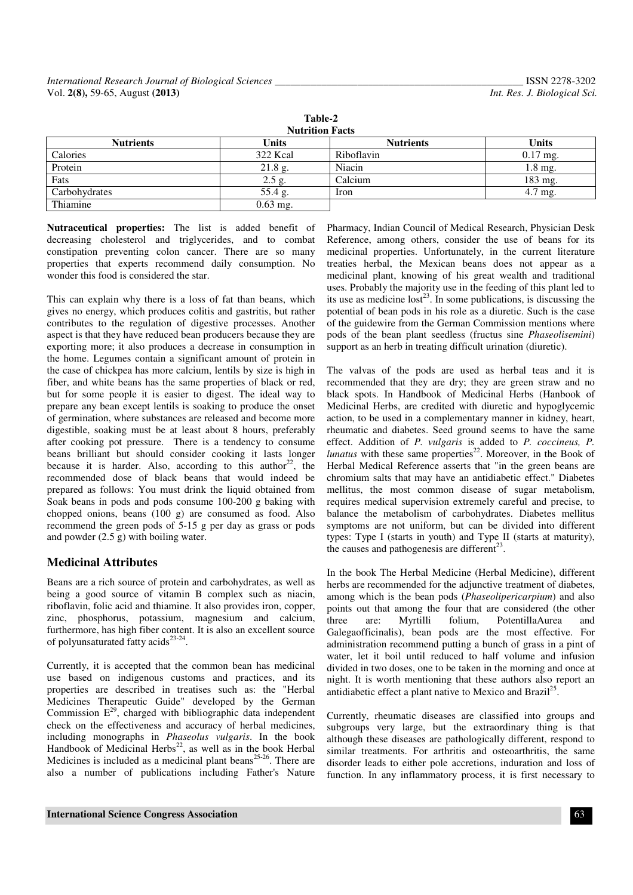| Table-2                |              |                  |              |  |  |
|------------------------|--------------|------------------|--------------|--|--|
| <b>Nutrition Facts</b> |              |                  |              |  |  |
| <b>Nutrients</b>       | <b>Units</b> | <b>Nutrients</b> | <b>Units</b> |  |  |
| Calories               | 322 Kcal     | Riboflavin       | $0.17$ mg.   |  |  |
| Protein                | $21.8$ g.    | Niacin           | $1.8$ mg.    |  |  |
| Fats                   | $2.5$ g.     | Calcium          | 183 mg.      |  |  |
| Carbohydrates          | 55.4 g.      | Iron             | 4.7 mg.      |  |  |
| Thiamine               | $0.63$ mg.   |                  |              |  |  |

**Nutraceutical properties:** The list is added benefit of decreasing cholesterol and triglycerides, and to combat constipation preventing colon cancer. There are so many properties that experts recommend daily consumption. No wonder this food is considered the star.

This can explain why there is a loss of fat than beans, which gives no energy, which produces colitis and gastritis, but rather contributes to the regulation of digestive processes. Another aspect is that they have reduced bean producers because they are exporting more; it also produces a decrease in consumption in the home. Legumes contain a significant amount of protein in the case of chickpea has more calcium, lentils by size is high in fiber, and white beans has the same properties of black or red, but for some people it is easier to digest. The ideal way to prepare any bean except lentils is soaking to produce the onset of germination, where substances are released and become more digestible, soaking must be at least about 8 hours, preferably after cooking pot pressure. There is a tendency to consume beans brilliant but should consider cooking it lasts longer because it is harder. Also, according to this author<sup>22</sup>, the recommended dose of black beans that would indeed be prepared as follows: You must drink the liquid obtained from Soak beans in pods and pods consume 100-200 g baking with chopped onions, beans (100 g) are consumed as food. Also recommend the green pods of 5-15 g per day as grass or pods and powder (2.5 g) with boiling water.

# **Medicinal Attributes**

Beans are a rich source of protein and carbohydrates, as well as being a good source of vitamin B complex such as niacin, riboflavin, folic acid and thiamine. It also provides iron, copper, zinc, phosphorus, potassium, magnesium and calcium, furthermore, has high fiber content. It is also an excellent source of polyunsaturated fatty acids<sup>23-24</sup>.

Currently, it is accepted that the common bean has medicinal use based on indigenous customs and practices, and its properties are described in treatises such as: the "Herbal Medicines Therapeutic Guide" developed by the German Commission  $E^{29}$ , charged with bibliographic data independent check on the effectiveness and accuracy of herbal medicines, including monographs in *Phaseolus vulgaris*. In the book Handbook of Medicinal Herbs<sup>22</sup>, as well as in the book Herbal Medicines is included as a medicinal plant beans<sup>25-26</sup>. There are also a number of publications including Father's Nature

Pharmacy, Indian Council of Medical Research, Physician Desk Reference, among others, consider the use of beans for its medicinal properties. Unfortunately, in the current literature treaties herbal, the Mexican beans does not appear as a medicinal plant, knowing of his great wealth and traditional uses. Probably the majority use in the feeding of this plant led to its use as medicine lost<sup>23</sup>. In some publications, is discussing the potential of bean pods in his role as a diuretic. Such is the case of the guidewire from the German Commission mentions where pods of the bean plant seedless (fructus sine *Phaseolisemini*) support as an herb in treating difficult urination (diuretic).

The valvas of the pods are used as herbal teas and it is recommended that they are dry; they are green straw and no black spots. In Handbook of Medicinal Herbs (Hanbook of Medicinal Herbs, are credited with diuretic and hypoglycemic action, to be used in a complementary manner in kidney, heart, rheumatic and diabetes. Seed ground seems to have the same effect. Addition of *P. vulgaris* is added to *P. coccineus, P. lunatus* with these same properties<sup>22</sup>. Moreover, in the Book of Herbal Medical Reference asserts that "in the green beans are chromium salts that may have an antidiabetic effect." Diabetes mellitus, the most common disease of sugar metabolism, requires medical supervision extremely careful and precise, to balance the metabolism of carbohydrates. Diabetes mellitus symptoms are not uniform, but can be divided into different types: Type I (starts in youth) and Type II (starts at maturity), the causes and pathogenesis are different<sup>23</sup>.

In the book The Herbal Medicine (Herbal Medicine), different herbs are recommended for the adjunctive treatment of diabetes, among which is the bean pods (*Phaseolipericarpium*) and also points out that among the four that are considered (the other three are: Myrtilli folium, PotentillaAurea and Galegaofficinalis), bean pods are the most effective. For administration recommend putting a bunch of grass in a pint of water, let it boil until reduced to half volume and infusion divided in two doses, one to be taken in the morning and once at night. It is worth mentioning that these authors also report an antidiabetic effect a plant native to Mexico and Brazil<sup>25</sup> .

Currently, rheumatic diseases are classified into groups and subgroups very large, but the extraordinary thing is that although these diseases are pathologically different, respond to similar treatments. For arthritis and osteoarthritis, the same disorder leads to either pole accretions, induration and loss of function. In any inflammatory process, it is first necessary to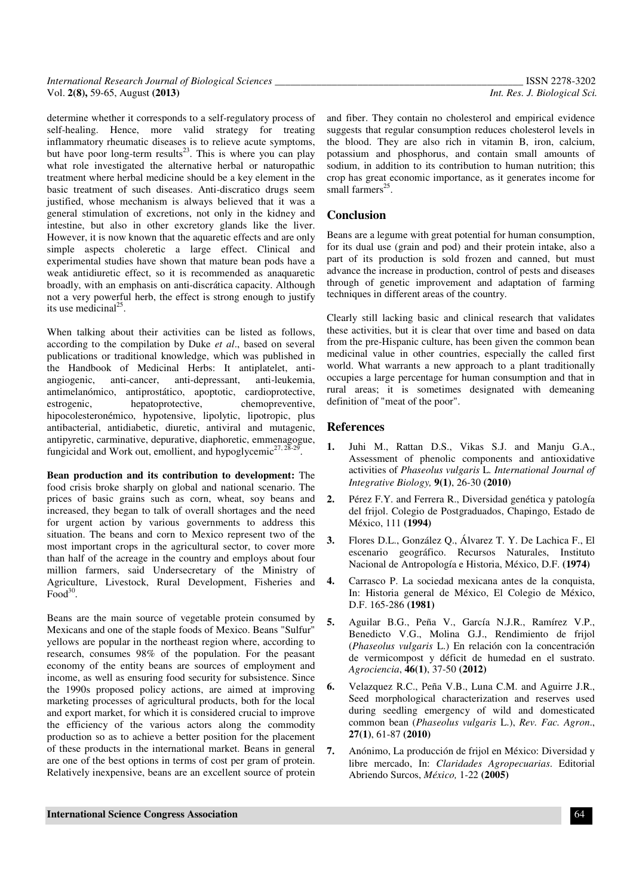| International Research Journal of Biological Sciences | ISSN 2278-3202               |
|-------------------------------------------------------|------------------------------|
| Vol. 2(8), 59-65, August (2013)                       | Int. Res. J. Biological Sci. |

determine whether it corresponds to a self-regulatory process of self-healing. Hence, more valid strategy for treating inflammatory rheumatic diseases is to relieve acute symptoms, but have poor long-term results $^{23}$ . This is where you can play what role investigated the alternative herbal or naturopathic treatment where herbal medicine should be a key element in the basic treatment of such diseases. Anti-discratico drugs seem justified, whose mechanism is always believed that it was a general stimulation of excretions, not only in the kidney and intestine, but also in other excretory glands like the liver. However, it is now known that the aquaretic effects and are only simple aspects choleretic a large effect. Clinical and experimental studies have shown that mature bean pods have a weak antidiuretic effect, so it is recommended as anaquaretic broadly, with an emphasis on anti-discrática capacity. Although not a very powerful herb, the effect is strong enough to justify its use medicinal<sup>25</sup>.

When talking about their activities can be listed as follows, according to the compilation by Duke *et al*., based on several publications or traditional knowledge, which was published in the Handbook of Medicinal Herbs: It antiplatelet, antiangiogenic, anti-cancer, anti-depressant, anti-leukemia, antimelanómico, antiprostático, apoptotic, cardioprotective, estrogenic, hepatoprotective, chemopreventive, hipocolesteronémico, hypotensive, lipolytic, lipotropic, plus antibacterial, antidiabetic, diuretic, antiviral and mutagenic, antipyretic, carminative, depurative, diaphoretic, emmenagogue, fungicidal and Work out, emollient, and hypoglycemic<sup>27, 28-29</sup> .

**Bean production and its contribution to development:** The food crisis broke sharply on global and national scenario. The prices of basic grains such as corn, wheat, soy beans and increased, they began to talk of overall shortages and the need for urgent action by various governments to address this situation. The beans and corn to Mexico represent two of the most important crops in the agricultural sector, to cover more than half of the acreage in the country and employs about four million farmers, said Undersecretary of the Ministry of Agriculture, Livestock, Rural Development, Fisheries and  $Food^{30}$ .

Beans are the main source of vegetable protein consumed by Mexicans and one of the staple foods of Mexico. Beans "Sulfur" yellows are popular in the northeast region where, according to research, consumes 98% of the population. For the peasant economy of the entity beans are sources of employment and income, as well as ensuring food security for subsistence. Since the 1990s proposed policy actions, are aimed at improving marketing processes of agricultural products, both for the local and export market, for which it is considered crucial to improve the efficiency of the various actors along the commodity production so as to achieve a better position for the placement of these products in the international market. Beans in general are one of the best options in terms of cost per gram of protein. Relatively inexpensive, beans are an excellent source of protein

and fiber. They contain no cholesterol and empirical evidence suggests that regular consumption reduces cholesterol levels in the blood. They are also rich in vitamin B, iron, calcium, potassium and phosphorus, and contain small amounts of sodium, in addition to its contribution to human nutrition; this crop has great economic importance, as it generates income for small farmers<sup>25</sup>.

# **Conclusion**

Beans are a legume with great potential for human consumption, for its dual use (grain and pod) and their protein intake, also a part of its production is sold frozen and canned, but must advance the increase in production, control of pests and diseases through of genetic improvement and adaptation of farming techniques in different areas of the country.

Clearly still lacking basic and clinical research that validates these activities, but it is clear that over time and based on data from the pre-Hispanic culture, has been given the common bean medicinal value in other countries, especially the called first world. What warrants a new approach to a plant traditionally occupies a large percentage for human consumption and that in rural areas; it is sometimes designated with demeaning definition of "meat of the poor".

## **References**

- **1.** Juhi M., Rattan D.S., Vikas S.J. and Manju G.A., Assessment of phenolic components and antioxidative activities of *Phaseolus vulgaris* L*. International Journal of Integrative Biology,* **9(1)**, 26-30 **(2010)**
- **2.** Pérez F.Y. and Ferrera R., Diversidad genética y patología del frijol. Colegio de Postgraduados, Chapingo, Estado de México, 111 **(1994)**
- **3.** Flores D.L., González Q., Álvarez T. Y. De Lachica F., El escenario geográfico. Recursos Naturales, Instituto Nacional de Antropología e Historia, México, D.F. **(1974)**
- **4.** Carrasco P. La sociedad mexicana antes de la conquista, In: Historia general de México, El Colegio de México, D.F. 165-286 **(1981)**
- **5.** Aguilar B.G., Peña V., García N.J.R., Ramírez V.P., Benedicto V.G., Molina G.J., Rendimiento de frijol (*Phaseolus vulgaris* L.) En relación con la concentración de vermicompost y déficit de humedad en el sustrato. *Agrociencia*, **46(1)**, 37-50 **(2012)**
- **6.** Velazquez R.C., Peña V.B., Luna C.M. and Aguirre J.R., Seed morphological characterization and reserves used during seedling emergency of wild and domesticated common bean (*Phaseolus vulgaris* L.), *Rev. Fac. Agron*., **27(1)**, 61-87 **(2010)**
- **7.** Anónimo, La producción de frijol en México: Diversidad y libre mercado, In: *Claridades Agropecuarias*. Editorial Abriendo Surcos, *México,* 1-22 **(2005)**

#### **International Science Congress Association**